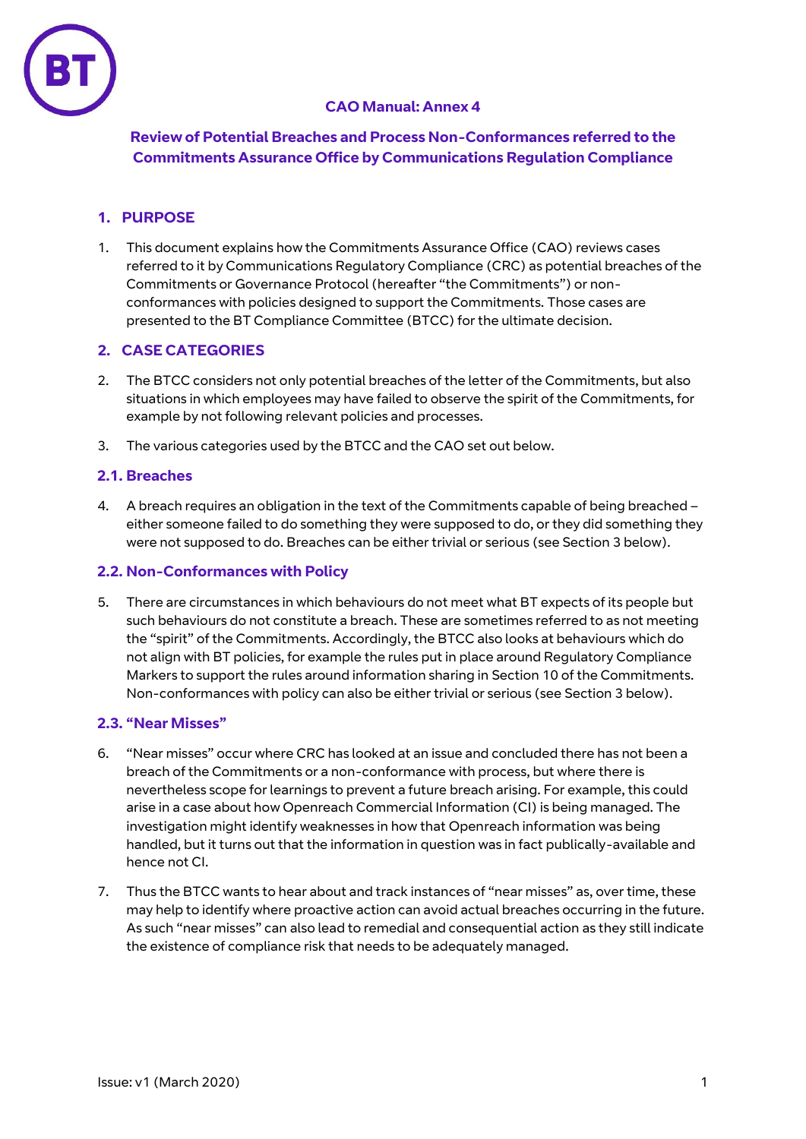

# **CAO Manual: Annex 4**

**Review of Potential Breaches and Process Non-Conformances referred to the Commitments Assurance Office by Communications Regulation Compliance**

## **1. PURPOSE**

1. This document explains how the Commitments Assurance Office (CAO) reviews cases referred to it by Communications Regulatory Compliance (CRC) as potential breaches of the Commitments or Governance Protocol (hereafter "the Commitments") or nonconformances with policies designed to support the Commitments. Those cases are presented to the BT Compliance Committee (BTCC) for the ultimate decision.

## **2. CASE CATEGORIES**

- 2. The BTCC considers not only potential breaches of the letter of the Commitments, but also situations in which employees may have failed to observe the spirit of the Commitments, for example by not following relevant policies and processes.
- 3. The various categories used by the BTCC and the CAO set out below.

## **2.1. Breaches**

4. A breach requires an obligation in the text of the Commitments capable of being breached – either someone failed to do something they were supposed to do, or they did something they were not supposed to do. Breaches can be either trivial or serious (see Section 3 below).

### **2.2. Non-Conformances with Policy**

5. There are circumstances in which behaviours do not meet what BT expects of its people but such behaviours do not constitute a breach. These are sometimes referred to as not meeting the "spirit" of the Commitments. Accordingly, the BTCC also looks at behaviours which do not align with BT policies, for example the rules put in place around Regulatory Compliance Markers to support the rules around information sharing in Section 10 of the Commitments. Non-conformances with policy can also be either trivial or serious (see Section 3 below).

## **2.3. "Near Misses"**

- 6. "Near misses" occur where CRC has looked at an issue and concluded there has not been a breach of the Commitments or a non-conformance with process, but where there is nevertheless scope for learnings to prevent a future breach arising. For example, this could arise in a case about how Openreach Commercial Information (CI) is being managed. The investigation might identify weaknesses in how that Openreach information was being handled, but it turns out that the information in question was in fact publically-available and hence not CI.
- 7. Thus the BTCC wants to hear about and track instances of "near misses" as, over time, these may help to identify where proactive action can avoid actual breaches occurring in the future. As such "near misses" can also lead to remedial and consequential action as they still indicate the existence of compliance risk that needs to be adequately managed.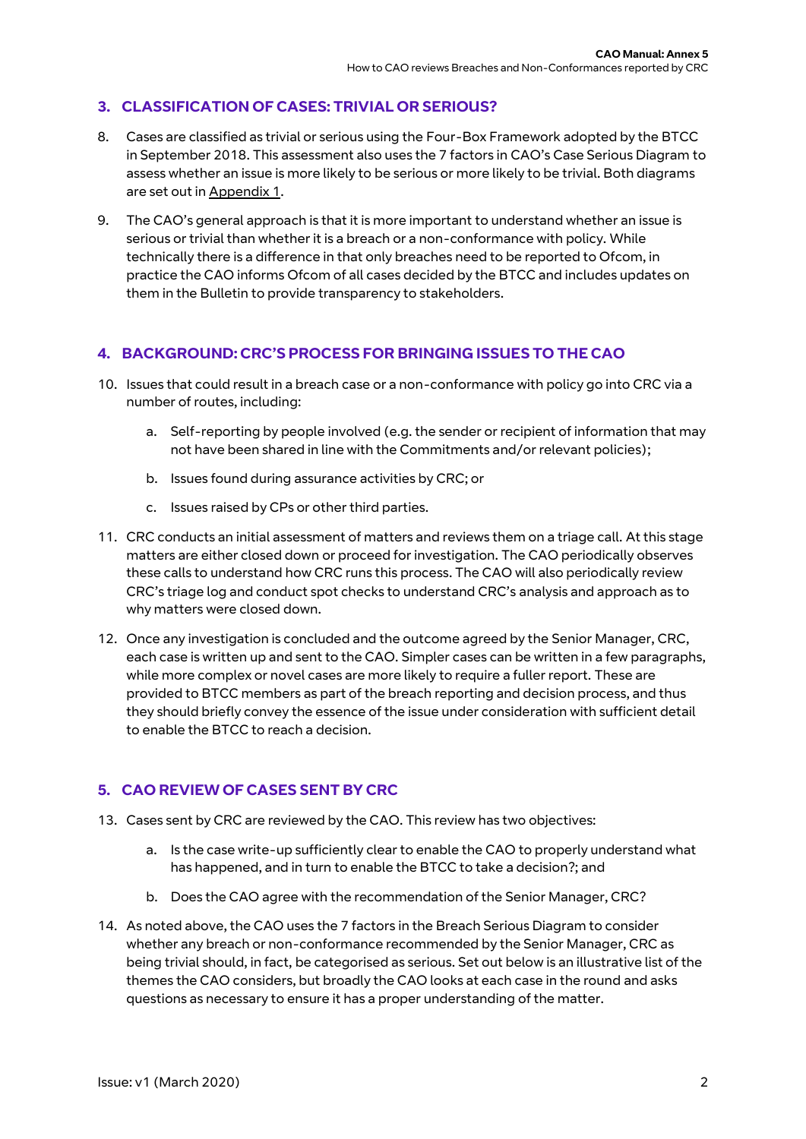## **3. CLASSIFICATION OF CASES: TRIVIAL OR SERIOUS?**

- 8. Cases are classified as trivial or serious using the Four-Box Framework adopted by the BTCC in September 2018. This assessment also uses the 7 factors in CAO's Case Serious Diagram to assess whether an issue is more likely to be serious or more likely to be trivial. Both diagrams are set out in Appendix 1.
- 9. The CAO's general approach is that it is more important to understand whether an issue is serious or trivial than whether it is a breach or a non-conformance with policy. While technically there is a difference in that only breaches need to be reported to Ofcom, in practice the CAO informs Ofcom of all cases decided by the BTCC and includes updates on them in the Bulletin to provide transparency to stakeholders.

## **4. BACKGROUND: CRC'S PROCESS FOR BRINGING ISSUES TO THE CAO**

- 10. Issues that could result in a breach case or a non-conformance with policy go into CRC via a number of routes, including:
	- a. Self-reporting by people involved (e.g. the sender or recipient of information that may not have been shared in line with the Commitments and/or relevant policies);
	- b. Issues found during assurance activities by CRC; or
	- c. Issues raised by CPs or other third parties.
- 11. CRC conducts an initial assessment of matters and reviews them on a triage call. At this stage matters are either closed down or proceed for investigation. The CAO periodically observes these calls to understand how CRC runs this process. The CAO will also periodically review CRC's triage log and conduct spot checks to understand CRC's analysis and approach as to why matters were closed down.
- 12. Once any investigation is concluded and the outcome agreed by the Senior Manager, CRC, each case is written up and sent to the CAO. Simpler cases can be written in a few paragraphs, while more complex or novel cases are more likely to require a fuller report. These are provided to BTCC members as part of the breach reporting and decision process, and thus they should briefly convey the essence of the issue under consideration with sufficient detail to enable the BTCC to reach a decision.

# **5. CAO REVIEW OF CASES SENT BY CRC**

- 13. Cases sent by CRC are reviewed by the CAO. This review has two objectives:
	- a. Is the case write-up sufficiently clear to enable the CAO to properly understand what has happened, and in turn to enable the BTCC to take a decision?; and
	- b. Does the CAO agree with the recommendation of the Senior Manager, CRC?
- 14. As noted above, the CAO uses the 7 factors in the Breach Serious Diagram to consider whether any breach or non-conformance recommended by the Senior Manager, CRC as being trivial should, in fact, be categorised as serious. Set out below is an illustrative list of the themes the CAO considers, but broadly the CAO looks at each case in the round and asks questions as necessary to ensure it has a proper understanding of the matter.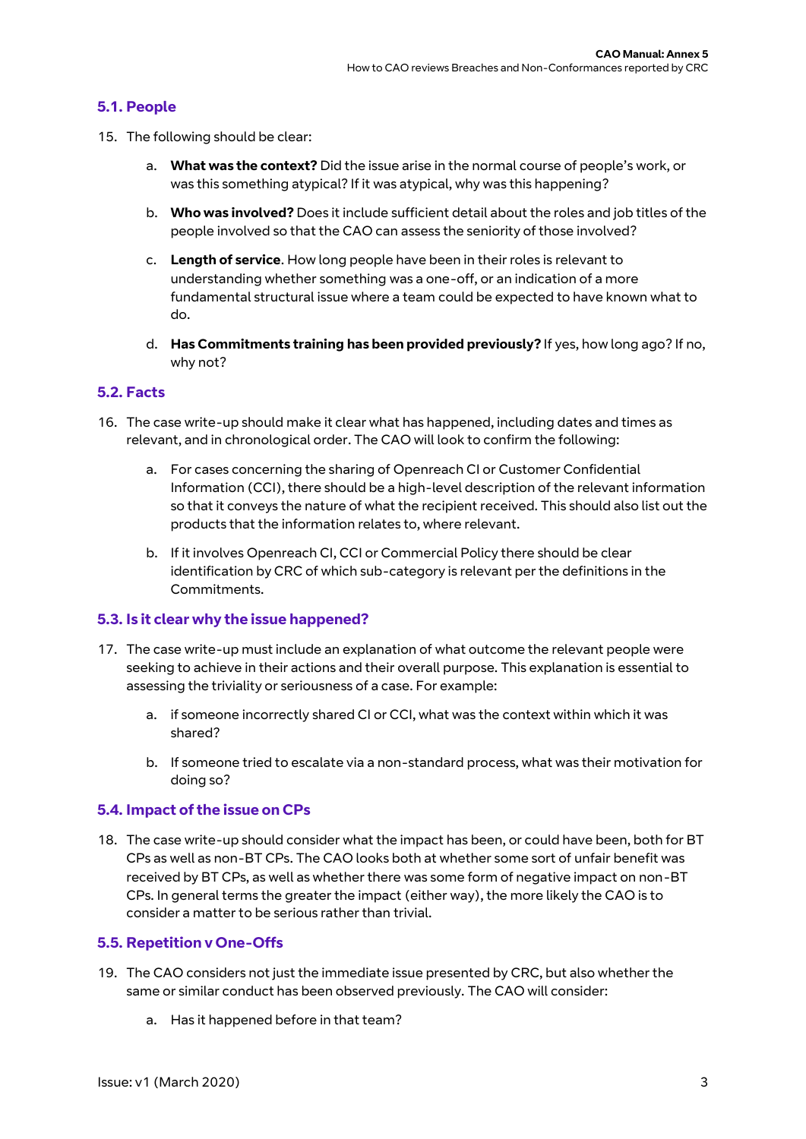## **5.1. People**

- 15. The following should be clear:
	- a. **What was the context?** Did the issue arise in the normal course of people's work, or was this something atypical? If it was atypical, why was this happening?
	- b. **Who was involved?** Does it include sufficient detail about the roles and job titles of the people involved so that the CAO can assess the seniority of those involved?
	- c. **Length of service**. How long people have been in their roles is relevant to understanding whether something was a one-off, or an indication of a more fundamental structural issue where a team could be expected to have known what to do.
	- d. **Has Commitments training has been provided previously?** If yes, how long ago? If no, why not?

## **5.2. Facts**

- 16. The case write-up should make it clear what has happened, including dates and times as relevant, and in chronological order. The CAO will look to confirm the following:
	- a. For cases concerning the sharing of Openreach CI or Customer Confidential Information (CCI), there should be a high-level description of the relevant information so that it conveys the nature of what the recipient received. This should also list out the products that the information relates to, where relevant.
	- b. If it involves Openreach CI, CCI or Commercial Policy there should be clear identification by CRC of which sub-category is relevant per the definitions in the Commitments.

#### **5.3. Is it clear why the issue happened?**

- 17. The case write-up must include an explanation of what outcome the relevant people were seeking to achieve in their actions and their overall purpose. This explanation is essential to assessing the triviality or seriousness of a case. For example:
	- a. if someone incorrectly shared CI or CCI, what was the context within which it was shared?
	- b. If someone tried to escalate via a non-standard process, what was their motivation for doing so?

#### **5.4. Impact of the issue on CPs**

18. The case write-up should consider what the impact has been, or could have been, both for BT CPs as well as non-BT CPs. The CAO looks both at whether some sort of unfair benefit was received by BT CPs, as well as whether there was some form of negative impact on non-BT CPs. In general terms the greater the impact (either way), the more likely the CAO is to consider a matter to be serious rather than trivial.

#### **5.5. Repetition v One-Offs**

- 19. The CAO considers not just the immediate issue presented by CRC, but also whether the same or similar conduct has been observed previously. The CAO will consider:
	- a. Has it happened before in that team?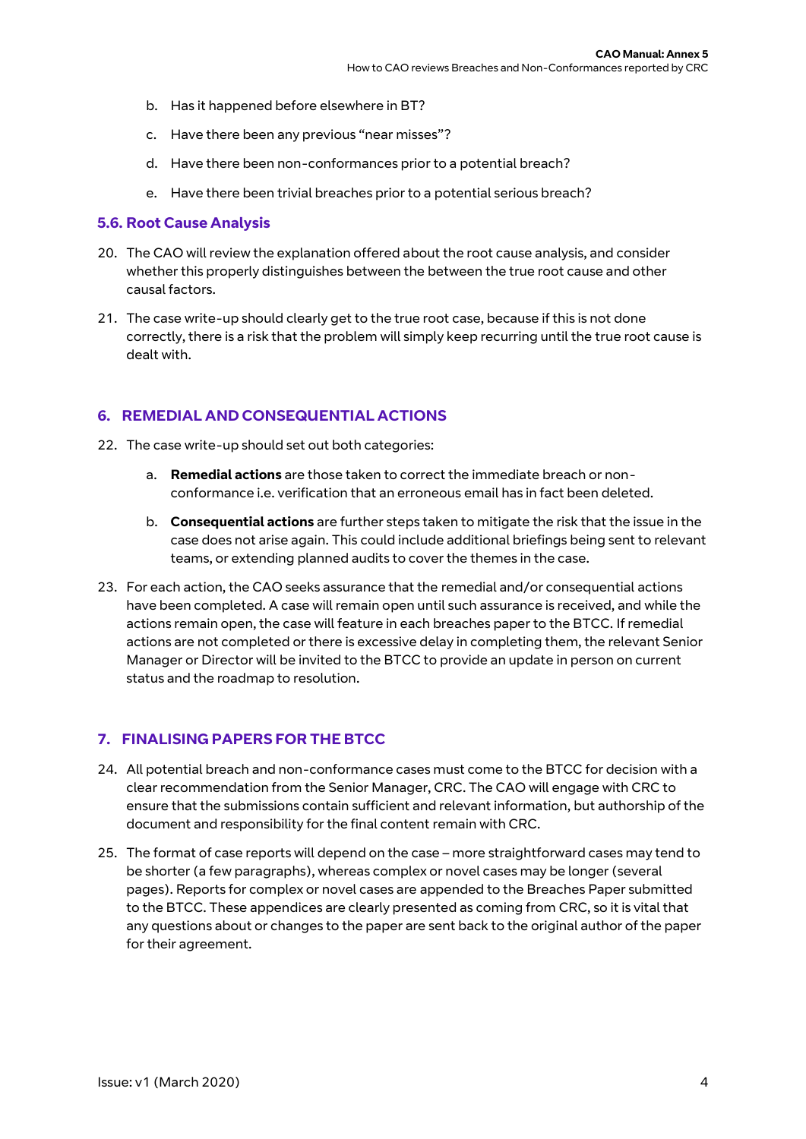- b. Has it happened before elsewhere in BT?
- c. Have there been any previous "near misses"?
- d. Have there been non-conformances prior to a potential breach?
- e. Have there been trivial breaches prior to a potential serious breach?

#### **5.6. Root Cause Analysis**

- 20. The CAO will review the explanation offered about the root cause analysis, and consider whether this properly distinguishes between the between the true root cause and other causal factors.
- 21. The case write-up should clearly get to the true root case, because if this is not done correctly, there is a risk that the problem will simply keep recurring until the true root cause is dealt with.

## **6. REMEDIAL AND CONSEQUENTIAL ACTIONS**

- 22. The case write-up should set out both categories:
	- a. **Remedial actions** are those taken to correct the immediate breach or nonconformance i.e. verification that an erroneous email has in fact been deleted.
	- b. **Consequential actions** are further steps taken to mitigate the risk that the issue in the case does not arise again. This could include additional briefings being sent to relevant teams, or extending planned audits to cover the themes in the case.
- 23. For each action, the CAO seeks assurance that the remedial and/or consequential actions have been completed. A case will remain open until such assurance is received, and while the actions remain open, the case will feature in each breaches paper to the BTCC. If remedial actions are not completed or there is excessive delay in completing them, the relevant Senior Manager or Director will be invited to the BTCC to provide an update in person on current status and the roadmap to resolution.

## **7. FINALISING PAPERS FOR THE BTCC**

- 24. All potential breach and non-conformance cases must come to the BTCC for decision with a clear recommendation from the Senior Manager, CRC. The CAO will engage with CRC to ensure that the submissions contain sufficient and relevant information, but authorship of the document and responsibility for the final content remain with CRC.
- 25. The format of case reports will depend on the case more straightforward cases may tend to be shorter (a few paragraphs), whereas complex or novel cases may be longer (several pages). Reports for complex or novel cases are appended to the Breaches Paper submitted to the BTCC. These appendices are clearly presented as coming from CRC, so it is vital that any questions about or changes to the paper are sent back to the original author of the paper for their agreement.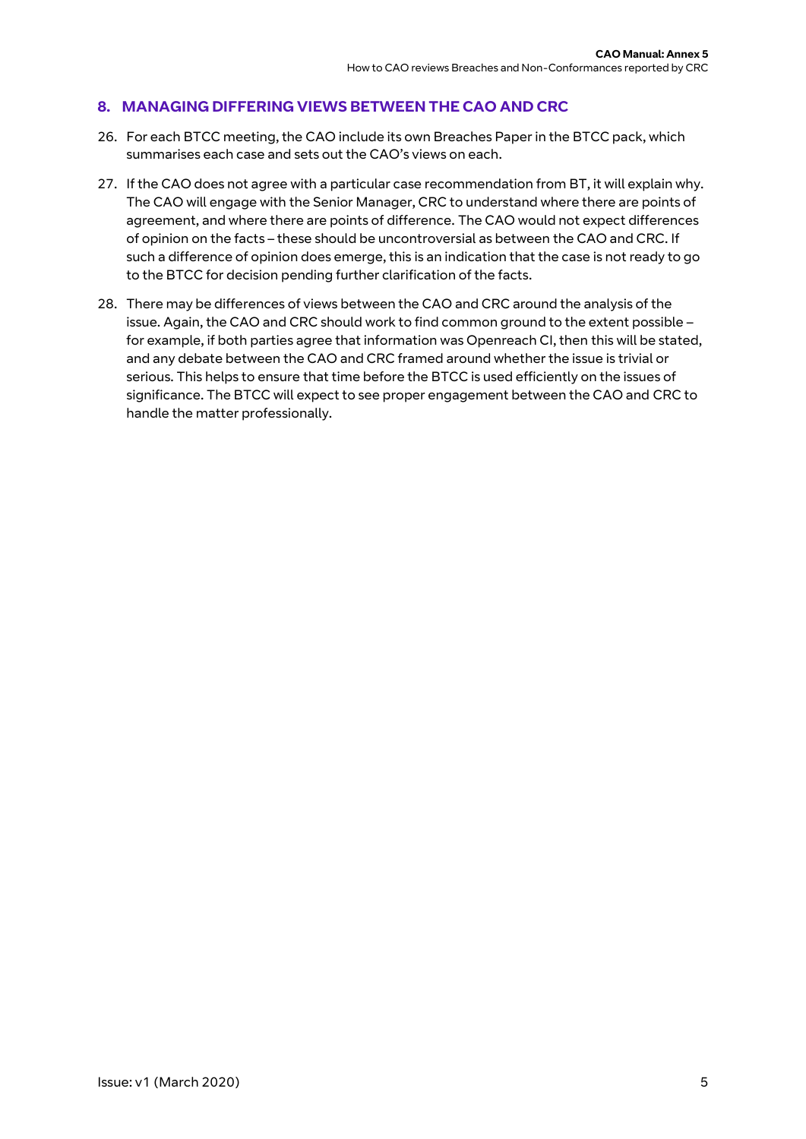# **8. MANAGING DIFFERING VIEWS BETWEEN THE CAO AND CRC**

- 26. For each BTCC meeting, the CAO include its own Breaches Paper in the BTCC pack, which summarises each case and sets out the CAO's views on each.
- 27. If the CAO does not agree with a particular case recommendation from BT, it will explain why. The CAO will engage with the Senior Manager, CRC to understand where there are points of agreement, and where there are points of difference. The CAO would not expect differences of opinion on the facts – these should be uncontroversial as between the CAO and CRC. If such a difference of opinion does emerge, this is an indication that the case is not ready to go to the BTCC for decision pending further clarification of the facts.
- 28. There may be differences of views between the CAO and CRC around the analysis of the issue. Again, the CAO and CRC should work to find common ground to the extent possible – for example, if both parties agree that information was Openreach CI, then this will be stated, and any debate between the CAO and CRC framed around whether the issue is trivial or serious. This helps to ensure that time before the BTCC is used efficiently on the issues of significance. The BTCC will expect to see proper engagement between the CAO and CRC to handle the matter professionally.